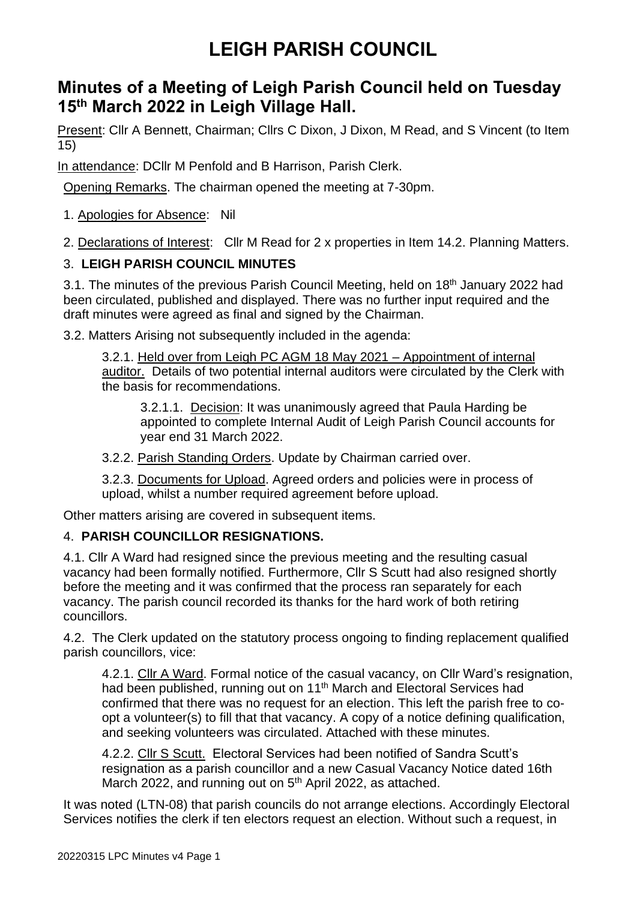### **Minutes of a Meeting of Leigh Parish Council held on Tuesday 15 th March 2022 in Leigh Village Hall.**

Present: Cllr A Bennett, Chairman; Cllrs C Dixon, J Dixon, M Read, and S Vincent (to Item 15)

In attendance: DCllr M Penfold and B Harrison, Parish Clerk.

Opening Remarks. The chairman opened the meeting at 7-30pm.

1. Apologies for Absence: Nil

2. Declarations of Interest: Cllr M Read for 2 x properties in Item 14.2. Planning Matters.

### 3. **LEIGH PARISH COUNCIL MINUTES**

3.1. The minutes of the previous Parish Council Meeting, held on 18<sup>th</sup> January 2022 had been circulated, published and displayed. There was no further input required and the draft minutes were agreed as final and signed by the Chairman.

3.2. Matters Arising not subsequently included in the agenda:

3.2.1. Held over from Leigh PC AGM 18 May 2021 – Appointment of internal auditor. Details of two potential internal auditors were circulated by the Clerk with the basis for recommendations.

3.2.1.1. Decision: It was unanimously agreed that Paula Harding be appointed to complete Internal Audit of Leigh Parish Council accounts for year end 31 March 2022.

3.2.2. Parish Standing Orders. Update by Chairman carried over.

3.2.3. Documents for Upload. Agreed orders and policies were in process of upload, whilst a number required agreement before upload.

Other matters arising are covered in subsequent items.

### 4. **PARISH COUNCILLOR RESIGNATIONS.**

4.1. Cllr A Ward had resigned since the previous meeting and the resulting casual vacancy had been formally notified. Furthermore, Cllr S Scutt had also resigned shortly before the meeting and it was confirmed that the process ran separately for each vacancy. The parish council recorded its thanks for the hard work of both retiring councillors.

4.2. The Clerk updated on the statutory process ongoing to finding replacement qualified parish councillors, vice:

4.2.1. Cllr A Ward. Formal notice of the casual vacancy, on Cllr Ward's resignation, had been published, running out on 11<sup>th</sup> March and Electoral Services had confirmed that there was no request for an election. This left the parish free to coopt a volunteer(s) to fill that that vacancy. A copy of a notice defining qualification, and seeking volunteers was circulated. Attached with these minutes.

4.2.2. Cllr S Scutt. Electoral Services had been notified of Sandra Scutt's resignation as a parish councillor and a new Casual Vacancy Notice dated 16th March 2022, and running out on 5<sup>th</sup> April 2022, as attached.

It was noted (LTN-08) that parish councils do not arrange elections. Accordingly Electoral Services notifies the clerk if ten electors request an election. Without such a request, in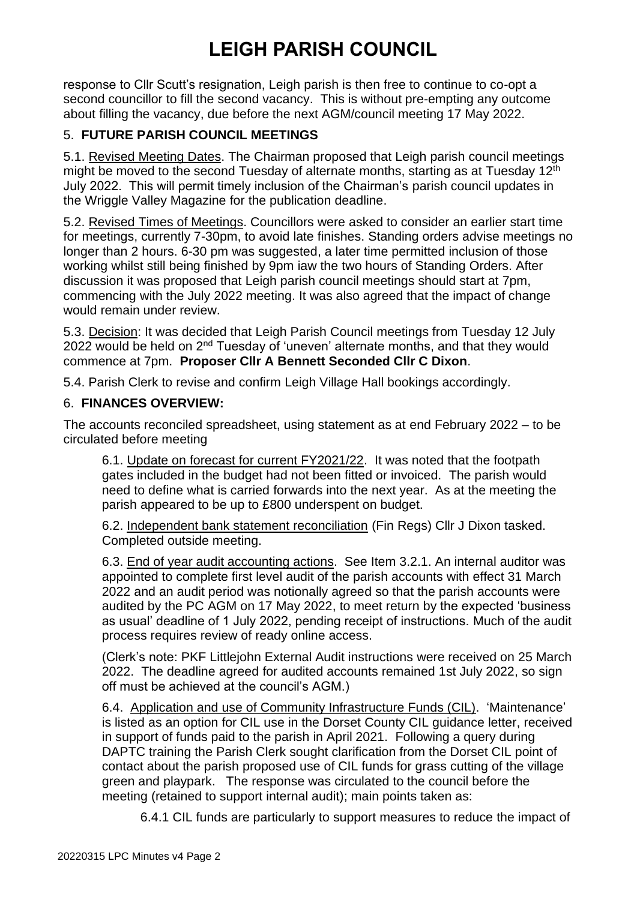response to Cllr Scutt's resignation, Leigh parish is then free to continue to co-opt a second councillor to fill the second vacancy. This is without pre-empting any outcome about filling the vacancy, due before the next AGM/council meeting 17 May 2022.

### 5. **FUTURE PARISH COUNCIL MEETINGS**

5.1. Revised Meeting Dates. The Chairman proposed that Leigh parish council meetings might be moved to the second Tuesday of alternate months, starting as at Tuesday 12<sup>th</sup> July 2022. This will permit timely inclusion of the Chairman's parish council updates in the Wriggle Valley Magazine for the publication deadline.

5.2. Revised Times of Meetings. Councillors were asked to consider an earlier start time for meetings, currently 7-30pm, to avoid late finishes. Standing orders advise meetings no longer than 2 hours. 6-30 pm was suggested, a later time permitted inclusion of those working whilst still being finished by 9pm iaw the two hours of Standing Orders. After discussion it was proposed that Leigh parish council meetings should start at 7pm, commencing with the July 2022 meeting. It was also agreed that the impact of change would remain under review.

5.3. Decision: It was decided that Leigh Parish Council meetings from Tuesday 12 July 2022 would be held on  $2<sup>nd</sup>$  Tuesday of 'uneven' alternate months, and that they would commence at 7pm. **Proposer Cllr A Bennett Seconded Cllr C Dixon**.

5.4. Parish Clerk to revise and confirm Leigh Village Hall bookings accordingly.

#### 6. **FINANCES OVERVIEW:**

The accounts reconciled spreadsheet, using statement as at end February 2022 – to be circulated before meeting

6.1. Update on forecast for current FY2021/22. It was noted that the footpath gates included in the budget had not been fitted or invoiced. The parish would need to define what is carried forwards into the next year. As at the meeting the parish appeared to be up to £800 underspent on budget.

6.2. Independent bank statement reconciliation (Fin Regs) Cllr J Dixon tasked. Completed outside meeting.

6.3. End of year audit accounting actions. See Item 3.2.1. An internal auditor was appointed to complete first level audit of the parish accounts with effect 31 March 2022 and an audit period was notionally agreed so that the parish accounts were audited by the PC AGM on 17 May 2022, to meet return by the expected 'business as usual' deadline of 1 July 2022, pending receipt of instructions. Much of the audit process requires review of ready online access.

(Clerk's note: PKF Littlejohn External Audit instructions were received on 25 March 2022. The deadline agreed for audited accounts remained 1st July 2022, so sign off must be achieved at the council's AGM.)

6.4. Application and use of Community Infrastructure Funds (CIL). 'Maintenance' is listed as an option for CIL use in the Dorset County CIL guidance letter, received in support of funds paid to the parish in April 2021. Following a query during DAPTC training the Parish Clerk sought clarification from the Dorset CIL point of contact about the parish proposed use of CIL funds for grass cutting of the village green and playpark. The response was circulated to the council before the meeting (retained to support internal audit); main points taken as:

6.4.1 CIL funds are particularly to support measures to reduce the impact of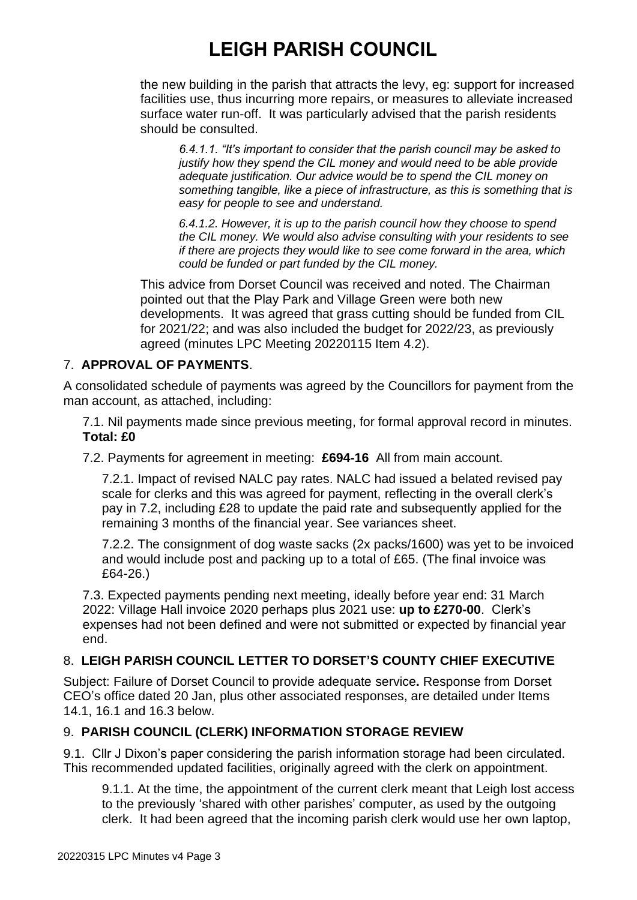the new building in the parish that attracts the levy, eg: support for increased facilities use, thus incurring more repairs, or measures to alleviate increased surface water run-off. It was particularly advised that the parish residents should be consulted.

*6.4.1.1. "It's important to consider that the parish council may be asked to justify how they spend the CIL money and would need to be able provide adequate justification. Our advice would be to spend the CIL money on something tangible, like a piece of infrastructure, as this is something that is easy for people to see and understand.* 

*6.4.1.2. However, it is up to the parish council how they choose to spend the CIL money. We would also advise consulting with your residents to see if there are projects they would like to see come forward in the area, which could be funded or part funded by the CIL money.*

This advice from Dorset Council was received and noted. The Chairman pointed out that the Play Park and Village Green were both new developments. It was agreed that grass cutting should be funded from CIL for 2021/22; and was also included the budget for 2022/23, as previously agreed (minutes LPC Meeting 20220115 Item 4.2).

#### 7. **APPROVAL OF PAYMENTS**.

A consolidated schedule of payments was agreed by the Councillors for payment from the man account, as attached, including:

7.1. Nil payments made since previous meeting, for formal approval record in minutes. **Total: £0** 

7.2. Payments for agreement in meeting: **£694-16** All from main account.

7.2.1. Impact of revised NALC pay rates. NALC had issued a belated revised pay scale for clerks and this was agreed for payment, reflecting in the overall clerk's pay in 7.2, including £28 to update the paid rate and subsequently applied for the remaining 3 months of the financial year. See variances sheet.

7.2.2. The consignment of dog waste sacks (2x packs/1600) was yet to be invoiced and would include post and packing up to a total of £65. (The final invoice was £64-26.)

7.3. Expected payments pending next meeting, ideally before year end: 31 March 2022: Village Hall invoice 2020 perhaps plus 2021 use: **up to £270-00**. Clerk's expenses had not been defined and were not submitted or expected by financial year end.

### 8. **LEIGH PARISH COUNCIL LETTER TO DORSET'S COUNTY CHIEF EXECUTIVE**

Subject: Failure of Dorset Council to provide adequate service**.** Response from Dorset CEO's office dated 20 Jan, plus other associated responses, are detailed under Items 14.1, 16.1 and 16.3 below.

### 9. **PARISH COUNCIL (CLERK) INFORMATION STORAGE REVIEW**

9.1. Cllr J Dixon's paper considering the parish information storage had been circulated. This recommended updated facilities, originally agreed with the clerk on appointment.

9.1.1. At the time, the appointment of the current clerk meant that Leigh lost access to the previously 'shared with other parishes' computer, as used by the outgoing clerk. It had been agreed that the incoming parish clerk would use her own laptop,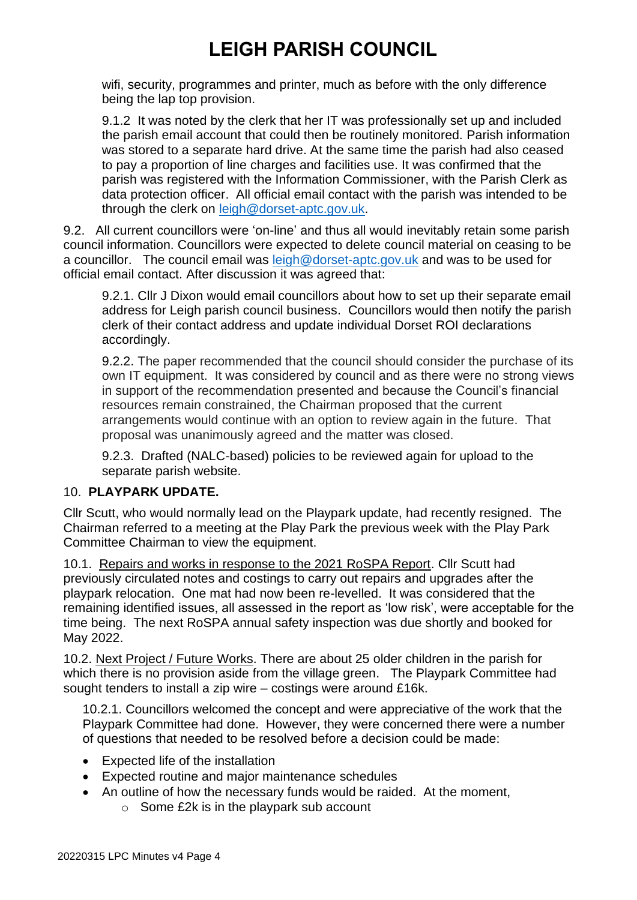wifi, security, programmes and printer, much as before with the only difference being the lap top provision.

9.1.2 It was noted by the clerk that her IT was professionally set up and included the parish email account that could then be routinely monitored. Parish information was stored to a separate hard drive. At the same time the parish had also ceased to pay a proportion of line charges and facilities use. It was confirmed that the parish was registered with the Information Commissioner, with the Parish Clerk as data protection officer. All official email contact with the parish was intended to be through the clerk on [leigh@dorset-aptc.gov.uk.](mailto:leigh@dorset-aptc.gov.uk)

9.2. All current councillors were 'on-line' and thus all would inevitably retain some parish council information. Councillors were expected to delete council material on ceasing to be a councillor. The council email was [leigh@dorset-aptc.gov.uk](mailto:leigh@dorset-aptc.gov.uk) and was to be used for official email contact. After discussion it was agreed that:

9.2.1. Cllr J Dixon would email councillors about how to set up their separate email address for Leigh parish council business. Councillors would then notify the parish clerk of their contact address and update individual Dorset ROI declarations accordingly.

9.2.2. The paper recommended that the council should consider the purchase of its own IT equipment. It was considered by council and as there were no strong views in support of the recommendation presented and because the Council's financial resources remain constrained, the Chairman proposed that the current arrangements would continue with an option to review again in the future. That proposal was unanimously agreed and the matter was closed.

9.2.3. Drafted (NALC-based) policies to be reviewed again for upload to the separate parish website.

#### 10. **PLAYPARK UPDATE.**

Cllr Scutt, who would normally lead on the Playpark update, had recently resigned. The Chairman referred to a meeting at the Play Park the previous week with the Play Park Committee Chairman to view the equipment.

10.1. Repairs and works in response to the 2021 RoSPA Report. Cllr Scutt had previously circulated notes and costings to carry out repairs and upgrades after the playpark relocation. One mat had now been re-levelled. It was considered that the remaining identified issues, all assessed in the report as 'low risk', were acceptable for the time being. The next RoSPA annual safety inspection was due shortly and booked for May 2022.

10.2. Next Project / Future Works. There are about 25 older children in the parish for which there is no provision aside from the village green. The Playpark Committee had sought tenders to install a zip wire – costings were around £16k.

10.2.1. Councillors welcomed the concept and were appreciative of the work that the Playpark Committee had done. However, they were concerned there were a number of questions that needed to be resolved before a decision could be made:

- Expected life of the installation
- Expected routine and major maintenance schedules
- An outline of how the necessary funds would be raided. At the moment,
	- o Some £2k is in the playpark sub account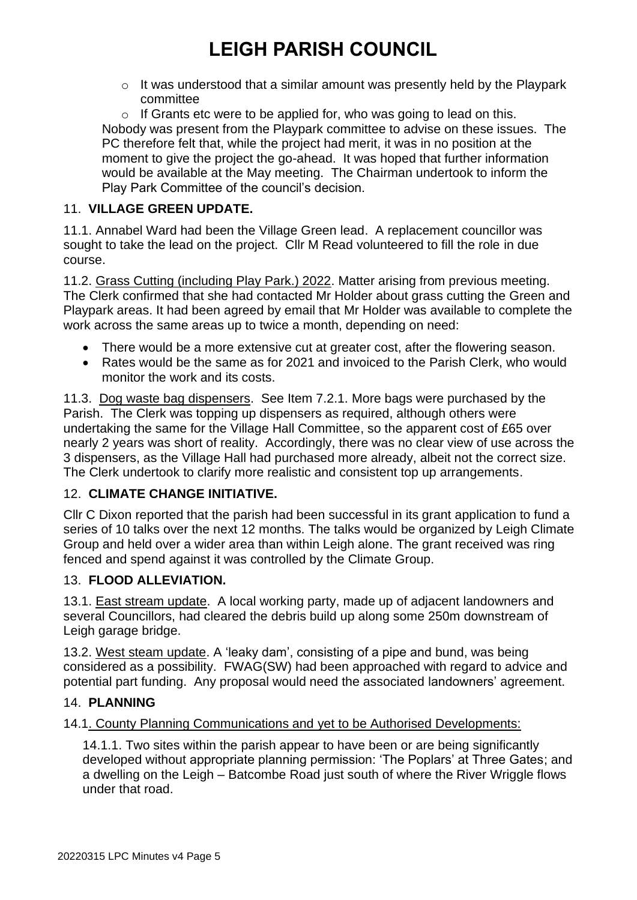$\circ$  It was understood that a similar amount was presently held by the Playpark committee

o If Grants etc were to be applied for, who was going to lead on this. Nobody was present from the Playpark committee to advise on these issues. The PC therefore felt that, while the project had merit, it was in no position at the moment to give the project the go-ahead. It was hoped that further information would be available at the May meeting. The Chairman undertook to inform the Play Park Committee of the council's decision.

#### 11. **VILLAGE GREEN UPDATE.**

11.1. Annabel Ward had been the Village Green lead. A replacement councillor was sought to take the lead on the project. Cllr M Read volunteered to fill the role in due course.

11.2. Grass Cutting (including Play Park.) 2022. Matter arising from previous meeting. The Clerk confirmed that she had contacted Mr Holder about grass cutting the Green and Playpark areas. It had been agreed by email that Mr Holder was available to complete the work across the same areas up to twice a month, depending on need:

- There would be a more extensive cut at greater cost, after the flowering season.
- Rates would be the same as for 2021 and invoiced to the Parish Clerk, who would monitor the work and its costs.

11.3. Dog waste bag dispensers. See Item 7.2.1. More bags were purchased by the Parish. The Clerk was topping up dispensers as required, although others were undertaking the same for the Village Hall Committee, so the apparent cost of £65 over nearly 2 years was short of reality. Accordingly, there was no clear view of use across the 3 dispensers, as the Village Hall had purchased more already, albeit not the correct size. The Clerk undertook to clarify more realistic and consistent top up arrangements.

### 12. **CLIMATE CHANGE INITIATIVE.**

Cllr C Dixon reported that the parish had been successful in its grant application to fund a series of 10 talks over the next 12 months. The talks would be organized by Leigh Climate Group and held over a wider area than within Leigh alone. The grant received was ring fenced and spend against it was controlled by the Climate Group.

#### 13. **FLOOD ALLEVIATION.**

13.1. East stream update. A local working party, made up of adjacent landowners and several Councillors, had cleared the debris build up along some 250m downstream of Leigh garage bridge.

13.2. West steam update. A 'leaky dam', consisting of a pipe and bund, was being considered as a possibility. FWAG(SW) had been approached with regard to advice and potential part funding. Any proposal would need the associated landowners' agreement.

#### 14. **PLANNING**

#### 14.1. County Planning Communications and yet to be Authorised Developments:

14.1.1. Two sites within the parish appear to have been or are being significantly developed without appropriate planning permission: 'The Poplars' at Three Gates; and a dwelling on the Leigh – Batcombe Road just south of where the River Wriggle flows under that road.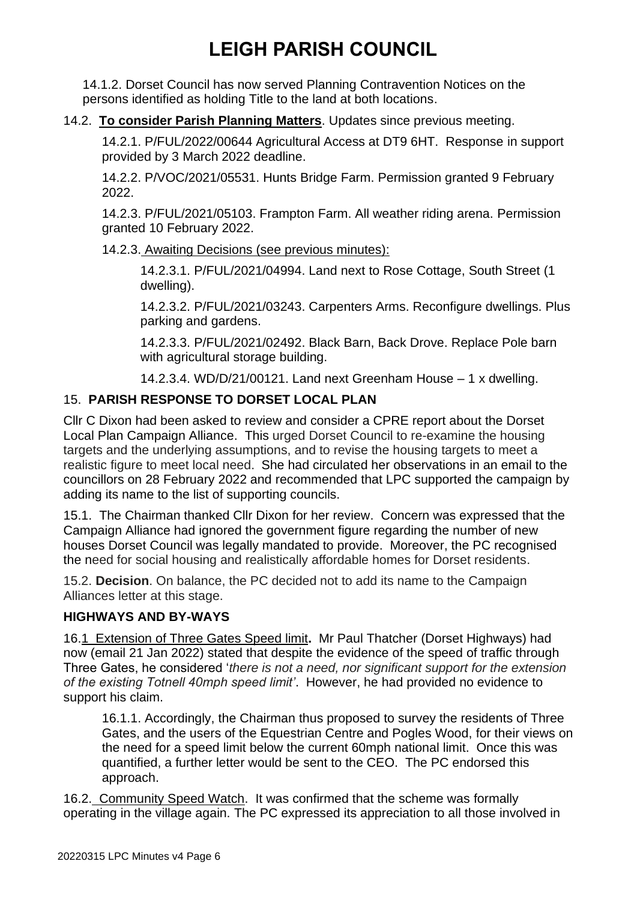14.1.2. Dorset Council has now served Planning Contravention Notices on the persons identified as holding Title to the land at both locations.

#### 14.2. **To consider Parish Planning Matters**. Updates since previous meeting.

14.2.1. P/FUL/2022/00644 Agricultural Access at DT9 6HT. Response in support provided by 3 March 2022 deadline.

14.2.2. P/VOC/2021/05531. Hunts Bridge Farm. Permission granted 9 February 2022.

14.2.3. P/FUL/2021/05103. Frampton Farm. All weather riding arena. Permission granted 10 February 2022.

14.2.3. Awaiting Decisions (see previous minutes):

14.2.3.1. P/FUL/2021/04994. Land next to Rose Cottage, South Street (1 dwelling).

14.2.3.2. P/FUL/2021/03243. Carpenters Arms. Reconfigure dwellings. Plus parking and gardens.

14.2.3.3. P/FUL/2021/02492. Black Barn, Back Drove. Replace Pole barn with agricultural storage building.

14.2.3.4. WD/D/21/00121. Land next Greenham House – 1 x dwelling.

### 15. **PARISH RESPONSE TO DORSET LOCAL PLAN**

Cllr C Dixon had been asked to review and consider a CPRE report about the Dorset Local Plan Campaign Alliance. This urged Dorset Council to re-examine the housing targets and the underlying assumptions, and to revise the housing targets to meet a realistic figure to meet local need. She had circulated her observations in an email to the councillors on 28 February 2022 and recommended that LPC supported the campaign by adding its name to the list of supporting councils.

15.1. The Chairman thanked Cllr Dixon for her review. Concern was expressed that the Campaign Alliance had ignored the government figure regarding the number of new houses Dorset Council was legally mandated to provide. Moreover, the PC recognised the need for social housing and realistically affordable homes for Dorset residents.

15.2. **Decision**. On balance, the PC decided not to add its name to the Campaign Alliances letter at this stage.

### **HIGHWAYS AND BY-WAYS**

16.1 Extension of Three Gates Speed limit**.** Mr Paul Thatcher (Dorset Highways) had now (email 21 Jan 2022) stated that despite the evidence of the speed of traffic through Three Gates, he considered '*there is not a need, nor significant support for the extension of the existing Totnell 40mph speed limit'*. However, he had provided no evidence to support his claim.

16.1.1. Accordingly, the Chairman thus proposed to survey the residents of Three Gates, and the users of the Equestrian Centre and Pogles Wood, for their views on the need for a speed limit below the current 60mph national limit. Once this was quantified, a further letter would be sent to the CEO. The PC endorsed this approach.

16.2. Community Speed Watch. It was confirmed that the scheme was formally operating in the village again. The PC expressed its appreciation to all those involved in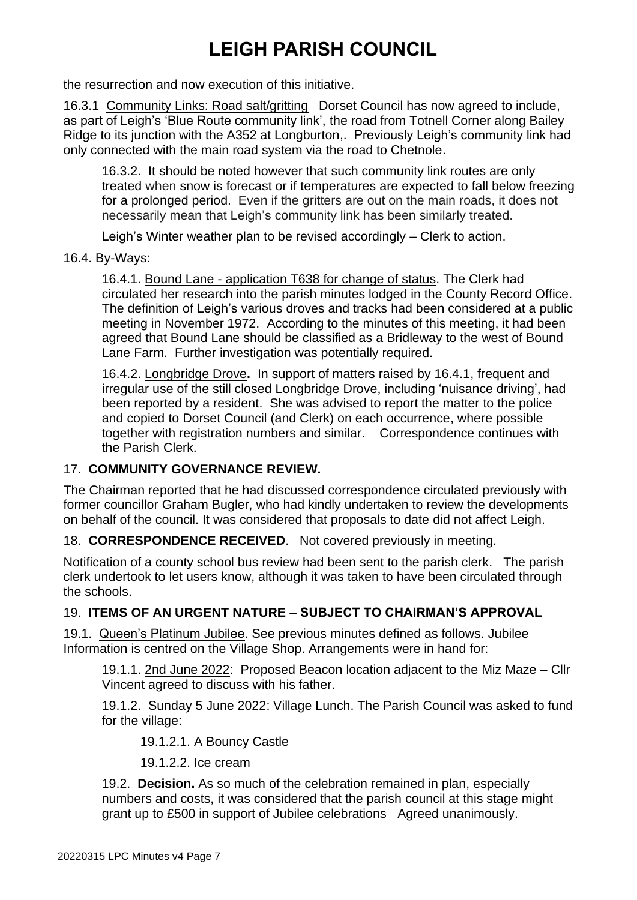the resurrection and now execution of this initiative.

16.3.1 Community Links: Road salt/gritting Dorset Council has now agreed to include, as part of Leigh's 'Blue Route community link', the road from Totnell Corner along Bailey Ridge to its junction with the A352 at Longburton,. Previously Leigh's community link had only connected with the main road system via the road to Chetnole.

16.3.2. It should be noted however that such community link routes are only treated when snow is forecast or if temperatures are expected to fall below freezing for a prolonged period. Even if the gritters are out on the main roads, it does not necessarily mean that Leigh's community link has been similarly treated.

Leigh's Winter weather plan to be revised accordingly – Clerk to action.

16.4. By-Ways:

16.4.1. Bound Lane - application T638 for change of status. The Clerk had circulated her research into the parish minutes lodged in the County Record Office. The definition of Leigh's various droves and tracks had been considered at a public meeting in November 1972. According to the minutes of this meeting, it had been agreed that Bound Lane should be classified as a Bridleway to the west of Bound Lane Farm. Further investigation was potentially required.

16.4.2. Longbridge Drove**.** In support of matters raised by 16.4.1, frequent and irregular use of the still closed Longbridge Drove, including 'nuisance driving', had been reported by a resident. She was advised to report the matter to the police and copied to Dorset Council (and Clerk) on each occurrence, where possible together with registration numbers and similar. Correspondence continues with the Parish Clerk.

#### 17. **COMMUNITY GOVERNANCE REVIEW.**

The Chairman reported that he had discussed correspondence circulated previously with former councillor Graham Bugler, who had kindly undertaken to review the developments on behalf of the council. It was considered that proposals to date did not affect Leigh.

18. **CORRESPONDENCE RECEIVED**. Not covered previously in meeting.

Notification of a county school bus review had been sent to the parish clerk. The parish clerk undertook to let users know, although it was taken to have been circulated through the schools.

#### 19. **ITEMS OF AN URGENT NATURE – SUBJECT TO CHAIRMAN'S APPROVAL**

19.1. Queen's Platinum Jubilee. See previous minutes defined as follows. Jubilee Information is centred on the Village Shop. Arrangements were in hand for:

19.1.1. 2nd June 2022: Proposed Beacon location adjacent to the Miz Maze – Cllr Vincent agreed to discuss with his father.

19.1.2. Sunday 5 June 2022: Village Lunch. The Parish Council was asked to fund for the village:

19.1.2.1. A Bouncy Castle

19.1.2.2. Ice cream

19.2. **Decision.** As so much of the celebration remained in plan, especially numbers and costs, it was considered that the parish council at this stage might grant up to £500 in support of Jubilee celebrations Agreed unanimously.